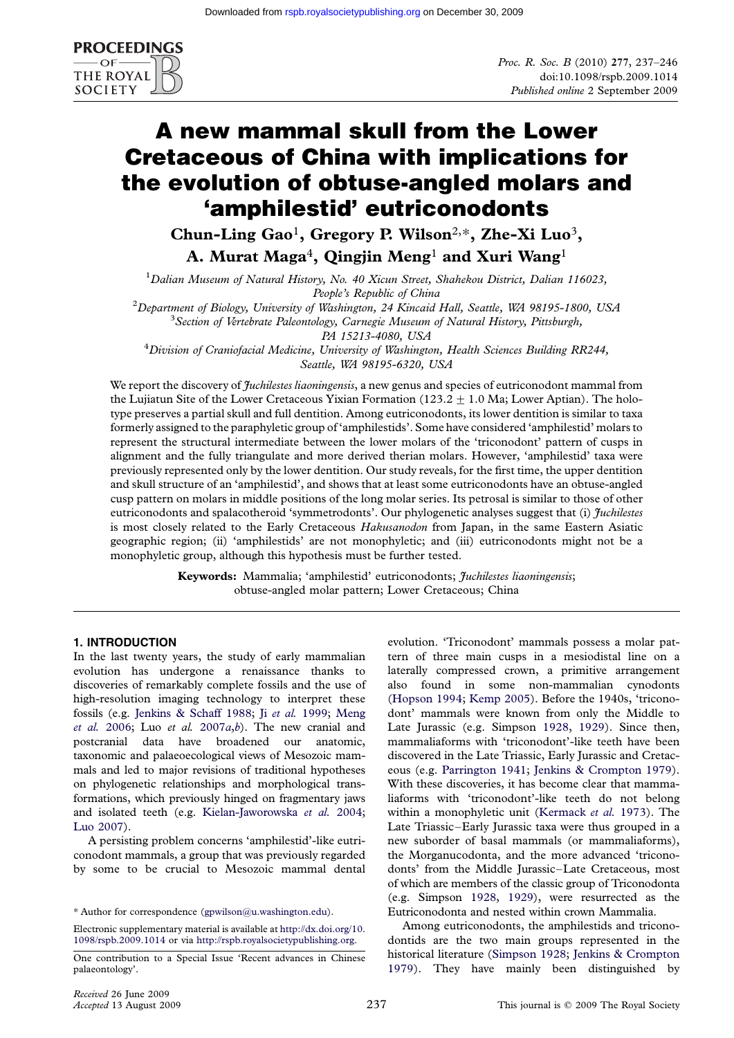

# A new mammal skull from the Lower Cretaceous of China with implications for the evolution of obtuse-angled molars and 'amphilestid' eutriconodonts

Chun-Ling Gao<sup>1</sup>, Gregory P. Wilson<sup>2,\*</sup>, Zhe-Xi Luo<sup>3</sup>, A. Murat Maga<sup>4</sup>, Qingjin Meng<sup>1</sup> and Xuri Wang<sup>1</sup>

<sup>1</sup>Dalian Museum of Natural History, No. 40 Xicun Street, Shahekou District, Dalian 116023,

People's Republic of China<br><sup>2</sup> Department of Piology, University of Washington, 24 Kinesid Department of Biology, University of Washington, 24 Kincaid Hall, Seattle, WA 98195-1800, USA<br><sup>3</sup> Section of Vertsbuste Paleontology, Canagia Museum of Natural History, Pittsburgh

 $3$  Section of Vertebrate Paleontology, Carnegie Museum of Natural History, Pittsburgh,

PA 15213-4080, USA<br><sup>4</sup>Division of Craniofacial Medicine, University of Washington, Health Sciences Building RR244,

Seattle, WA 98195-6320, USA

We report the discovery of *Juchilestes liaoningensis*, a new genus and species of eutriconodont mammal from the Lujiatun Site of the Lower Cretaceous Yixian Formation (123.2  $\pm$  1.0 Ma; Lower Aptian). The holotype preserves a partial skull and full dentition. Among eutriconodonts, its lower dentition is similar to taxa formerly assigned to the paraphyletic group of 'amphilestids'. Some have considered 'amphilestid' molars to represent the structural intermediate between the lower molars of the 'triconodont' pattern of cusps in alignment and the fully triangulate and more derived therian molars. However, 'amphilestid' taxa were previously represented only by the lower dentition. Our study reveals, for the first time, the upper dentition and skull structure of an 'amphilestid', and shows that at least some eutriconodonts have an obtuse-angled cusp pattern on molars in middle positions of the long molar series. Its petrosal is similar to those of other eutriconodonts and spalacotheroid 'symmetrodonts'. Our phylogenetic analyses suggest that (i) Juchilestes is most closely related to the Early Cretaceous Hakusanodon from Japan, in the same Eastern Asiatic geographic region; (ii) 'amphilestids' are not monophyletic; and (iii) eutriconodonts might not be a monophyletic group, although this hypothesis must be further tested.

> Keywords: Mammalia; 'amphilestid' eutriconodonts; *Juchilestes liaoningensis*; obtuse-angled molar pattern; Lower Cretaceous; China

# 1. INTRODUCTION

In the last twenty years, the study of early mammalian evolution has undergone a renaissance thanks to discoveries of remarkably complete fossils and the use of high-resolution imaging technology to interpret these fossils (e.g. [Jenkins & Schaff 1988](#page-9-0); Ji et al. [1999;](#page-9-0) [Meng](#page-9-0) [et al.](#page-9-0) 2006; Luo et al. [2007](#page-9-0) $a,b$  $a,b$ ). The new cranial and postcranial data have broadened our anatomic, taxonomic and palaeoecological views of Mesozoic mammals and led to major revisions of traditional hypotheses on phylogenetic relationships and morphological transformations, which previously hinged on fragmentary jaws and isolated teeth (e.g. [Kielan-Jaworowska](#page-9-0) et al. 2004; [Luo 2007](#page-9-0)).

A persisting problem concerns 'amphilestid'-like eutriconodont mammals, a group that was previously regarded by some to be crucial to Mesozoic mammal dental

\* Author for correspondence ([gpwilson@u.washington.edu](mailto:gpwilson@u.washington.edu)).

Electronic supplementary material is available at [http://dx.doi.org/10.](http://dx.doi.org/10.1098/rspb.2009.1014) [1098/rspb.2009.1014](http://dx.doi.org/10.1098/rspb.2009.1014) or via <http://rspb.royalsocietypublishing.org>.

evolution. 'Triconodont' mammals possess a molar pattern of three main cusps in a mesiodistal line on a laterally compressed crown, a primitive arrangement also found in some non-mammalian cynodonts [\(Hopson 1994](#page-9-0); [Kemp 2005](#page-9-0)). Before the 1940s, 'triconodont' mammals were known from only the Middle to Late Jurassic (e.g. Simpson [1928](#page-9-0), [1929\)](#page-9-0). Since then, mammaliaforms with 'triconodont'-like teeth have been discovered in the Late Triassic, Early Jurassic and Cretaceous (e.g. [Parrington 1941](#page-9-0); [Jenkins & Crompton 1979](#page-9-0)). With these discoveries, it has become clear that mammaliaforms with 'triconodont'-like teeth do not belong within a monophyletic unit [\(Kermack](#page-9-0) et al. 1973). The Late Triassic–Early Jurassic taxa were thus grouped in a new suborder of basal mammals (or mammaliaforms), the Morganucodonta, and the more advanced 'triconodonts' from the Middle Jurassic–Late Cretaceous, most of which are members of the classic group of Triconodonta (e.g. Simpson [1928](#page-9-0), [1929\)](#page-9-0), were resurrected as the Eutriconodonta and nested within crown Mammalia.

Among eutriconodonts, the amphilestids and triconodontids are the two main groups represented in the historical literature [\(Simpson 1928](#page-9-0); [Jenkins & Crompton](#page-9-0) [1979\)](#page-9-0). They have mainly been distinguished by

One contribution to a Special Issue 'Recent advances in Chinese palaeontology'.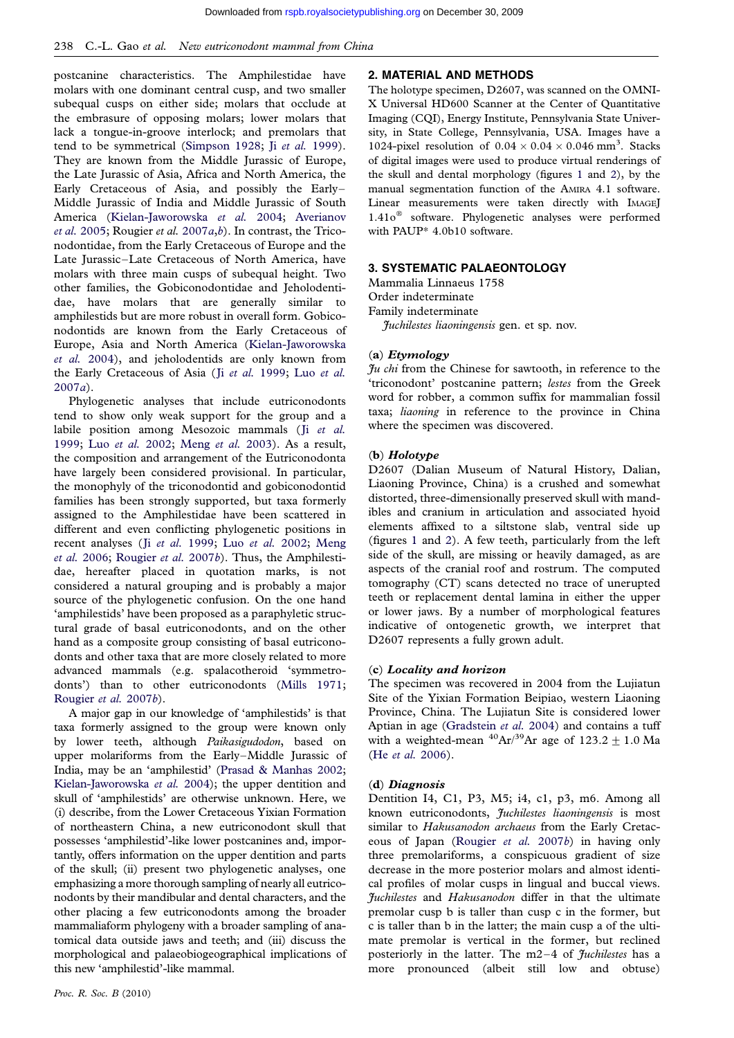postcanine characteristics. The Amphilestidae have molars with one dominant central cusp, and two smaller subequal cusps on either side; molars that occlude at the embrasure of opposing molars; lower molars that lack a tongue-in-groove interlock; and premolars that tend to be symmetrical [\(Simpson 1928;](#page-9-0) Ji et al. [1999](#page-9-0)). They are known from the Middle Jurassic of Europe, the Late Jurassic of Asia, Africa and North America, the Early Cretaceous of Asia, and possibly the Early– Middle Jurassic of India and Middle Jurassic of South America ([Kielan-Jaworowska](#page-9-0) et al. 2004; [Averianov](#page-8-0) et al. [2005](#page-8-0); Rougier et al. [2007](#page-9-0)a, $b$ ). In contrast, the Triconodontidae, from the Early Cretaceous of Europe and the Late Jurassic–Late Cretaceous of North America, have molars with three main cusps of subequal height. Two other families, the Gobiconodontidae and Jeholodentidae, have molars that are generally similar to amphilestids but are more robust in overall form. Gobiconodontids are known from the Early Cretaceous of Europe, Asia and North America ([Kielan-Jaworowska](#page-9-0) [et al.](#page-9-0) 2004), and jeholodentids are only known from the Early Cretaceous of Asia (Ji et al. [1999;](#page-9-0) Luo [et al.](#page-9-0) [2007](#page-9-0)a).

Phylogenetic analyses that include eutriconodonts tend to show only weak support for the group and a labile position among Mesozoic mammals (Ji [et al.](#page-9-0) [1999;](#page-9-0) Luo [et al.](#page-9-0) 2002; [Meng](#page-9-0) et al. 2003). As a result, the composition and arrangement of the Eutriconodonta have largely been considered provisional. In particular, the monophyly of the triconodontid and gobiconodontid families has been strongly supported, but taxa formerly assigned to the Amphilestidae have been scattered in different and even conflicting phylogenetic positions in recent analyses (Ji et al. [1999;](#page-9-0) Luo [et al.](#page-9-0) 2002; [Meng](#page-9-0) et al. [2006;](#page-9-0) [Rougier](#page-9-0) et al. 2007b). Thus, the Amphilestidae, hereafter placed in quotation marks, is not considered a natural grouping and is probably a major source of the phylogenetic confusion. On the one hand 'amphilestids' have been proposed as a paraphyletic structural grade of basal eutriconodonts, and on the other hand as a composite group consisting of basal eutriconodonts and other taxa that are more closely related to more advanced mammals (e.g. spalacotheroid 'symmetrodonts') than to other eutriconodonts ([Mills 1971;](#page-9-0) [Rougier](#page-9-0) et al. 2007b).

A major gap in our knowledge of 'amphilestids' is that taxa formerly assigned to the group were known only by lower teeth, although Paikasigudodon, based on upper molariforms from the Early–Middle Jurassic of India, may be an 'amphilestid' ([Prasad & Manhas 2002;](#page-9-0) [Kielan-Jaworowska](#page-9-0) et al. 2004); the upper dentition and skull of 'amphilestids' are otherwise unknown. Here, we (i) describe, from the Lower Cretaceous Yixian Formation of northeastern China, a new eutriconodont skull that possesses 'amphilestid'-like lower postcanines and, importantly, offers information on the upper dentition and parts of the skull; (ii) present two phylogenetic analyses, one emphasizing a more thorough sampling of nearly all eutriconodonts by their mandibular and dental characters, and the other placing a few eutriconodonts among the broader mammaliaform phylogeny with a broader sampling of anatomical data outside jaws and teeth; and (iii) discuss the morphological and palaeobiogeographical implications of this new 'amphilestid'-like mammal.

## 2. MATERIAL AND METHODS

The holotype specimen, D2607, was scanned on the OMNI-X Universal HD600 Scanner at the Center of Quantitative Imaging (CQI), Energy Institute, Pennsylvania State University, in State College, Pennsylvania, USA. Images have a 1024-pixel resolution of  $0.04 \times 0.04 \times 0.046$  mm<sup>3</sup>. Stacks of digital images were used to produce virtual renderings of the skull and dental morphology (figures [1](#page-2-0) and [2](#page-3-0)), by the manual segmentation function of the AMIRA 4.1 software. Linear measurements were taken directly with IMAGEJ  $1.41o^{\circledR}$  software. Phylogenetic analyses were performed with PAUP\* 4.0b10 software.

# 3. SYSTEMATIC PALAEONTOLOGY

Mammalia Linnaeus 1758 Order indeterminate Family indeterminate

Juchilestes liaoningensis gen. et sp. nov.

#### (a) Etymology

 $\mathcal{J}u$  chi from the Chinese for sawtooth, in reference to the 'triconodont' postcanine pattern; lestes from the Greek word for robber, a common suffix for mammalian fossil taxa; liaoning in reference to the province in China where the specimen was discovered.

#### (b) Holotype

D2607 (Dalian Museum of Natural History, Dalian, Liaoning Province, China) is a crushed and somewhat distorted, three-dimensionally preserved skull with mandibles and cranium in articulation and associated hyoid elements affixed to a siltstone slab, ventral side up (figures [1](#page-2-0) and [2\)](#page-3-0). A few teeth, particularly from the left side of the skull, are missing or heavily damaged, as are aspects of the cranial roof and rostrum. The computed tomography (CT) scans detected no trace of unerupted teeth or replacement dental lamina in either the upper or lower jaws. By a number of morphological features indicative of ontogenetic growth, we interpret that D2607 represents a fully grown adult.

#### (c) Locality and horizon

The specimen was recovered in 2004 from the Lujiatun Site of the Yixian Formation Beipiao, western Liaoning Province, China. The Lujiatun Site is considered lower Aptian in age ([Gradstein](#page-9-0) et al. 2004) and contains a tuff with a weighted-mean  ${}^{40}Ar/{}^{39}Ar$  age of 123.2  $\pm$  1.0 Ma (He et al. [2006](#page-9-0)).

#### (d) Diagnosis

Dentition I4, C1, P3, M5; i4, c1, p3, m6. Among all known eutriconodonts, Juchilestes liaoningensis is most similar to Hakusanodon archaeus from the Early Cretac-eous of Japan ([Rougier](#page-9-0) et al. 2007b) in having only three premolariforms, a conspicuous gradient of size decrease in the more posterior molars and almost identical profiles of molar cusps in lingual and buccal views. Juchilestes and Hakusanodon differ in that the ultimate premolar cusp b is taller than cusp c in the former, but c is taller than b in the latter; the main cusp a of the ultimate premolar is vertical in the former, but reclined posteriorly in the latter. The  $m2-4$  of  $\hat{\tau}$ uchilestes has a more pronounced (albeit still low and obtuse)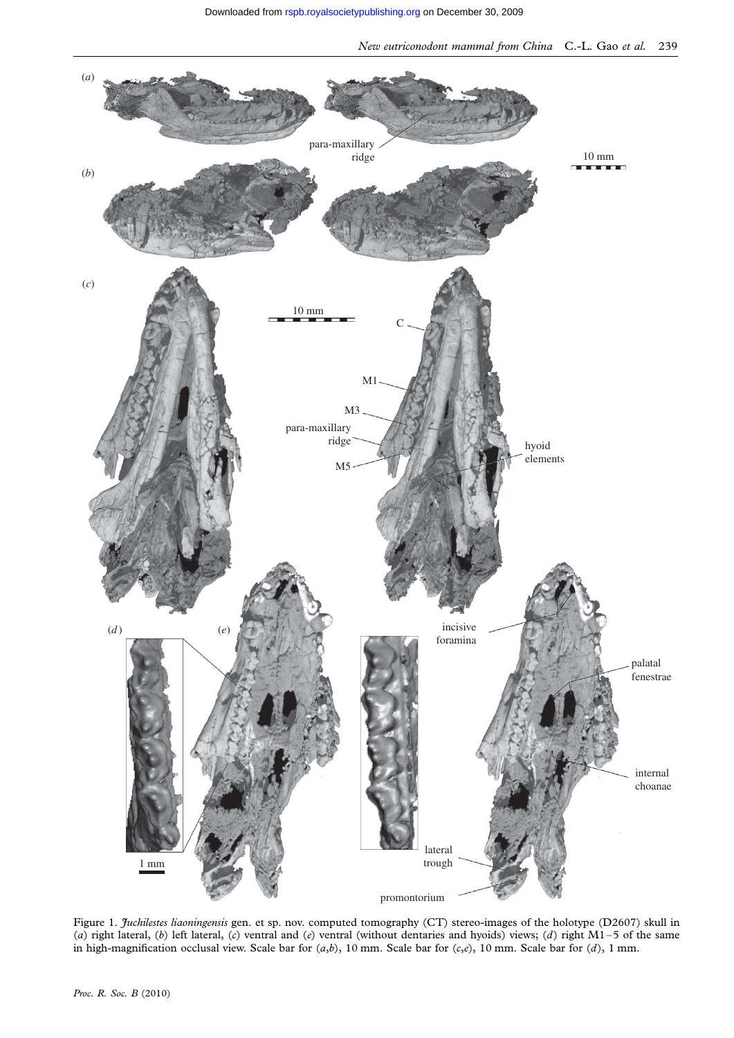<span id="page-2-0"></span>

New eutriconodont mammal from China C.-L. Gao et al. 239

Figure 1. Juchilestes liaoningensis gen. et sp. nov. computed tomography (CT) stereo-images of the holotype (D2607) skull in (a) right lateral, (b) left lateral, (c) ventral and (e) ventral (without dentaries and hyoids) views; (d) right M1-5 of the same in high-magnification occlusal view. Scale bar for  $(a,b)$ , 10 mm. Scale bar for  $(c,e)$ , 10 mm. Scale bar for  $(d)$ , 1 mm.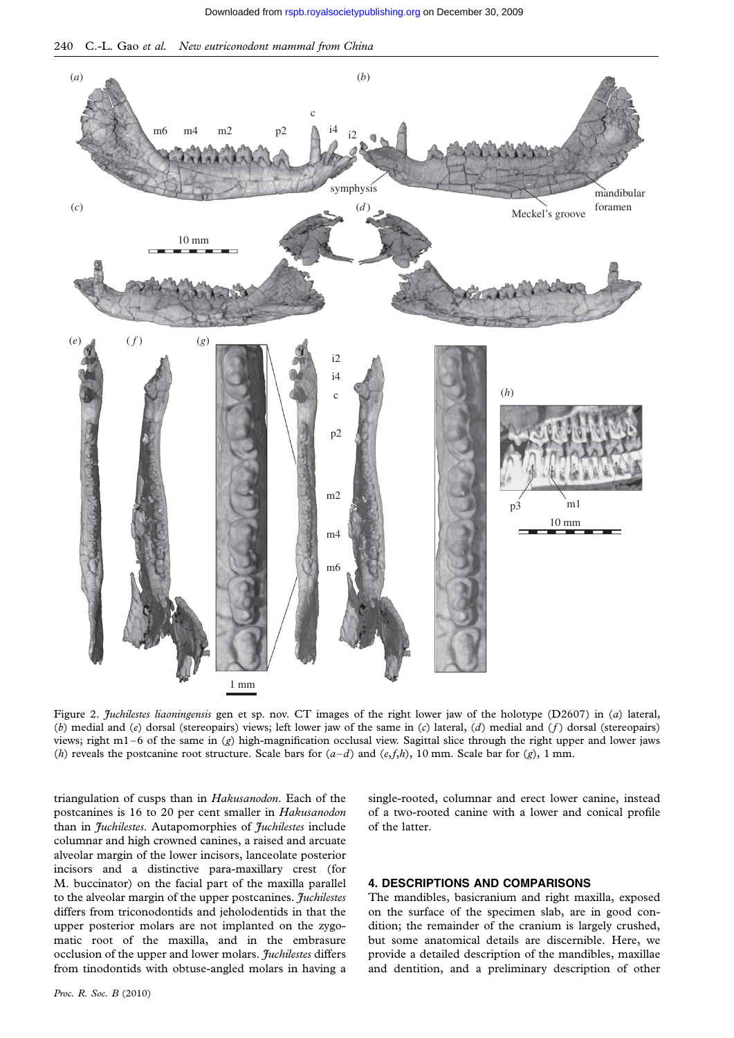<span id="page-3-0"></span>



Figure 2. *Juchilestes liaoningensis* gen et sp. nov. CT images of the right lower jaw of the holotype (D2607) in (a) lateral, (b) medial and (e) dorsal (stereopairs) views; left lower jaw of the same in (c) lateral, (d) medial and (f) dorsal (stereopairs) views; right m1-6 of the same in  $(g)$  high-magnification occlusal view. Sagittal slice through the right upper and lower jaws (h) reveals the postcanine root structure. Scale bars for  $(a-d)$  and  $(e, f, h)$ , 10 mm. Scale bar for  $(g)$ , 1 mm.

triangulation of cusps than in Hakusanodon. Each of the postcanines is 16 to 20 per cent smaller in Hakusanodon than in Juchilestes. Autapomorphies of Juchilestes include columnar and high crowned canines, a raised and arcuate alveolar margin of the lower incisors, lanceolate posterior incisors and a distinctive para-maxillary crest (for M. buccinator) on the facial part of the maxilla parallel to the alveolar margin of the upper postcanines. *Juchilestes* differs from triconodontids and jeholodentids in that the upper posterior molars are not implanted on the zygomatic root of the maxilla, and in the embrasure occlusion of the upper and lower molars. *Juchilestes* differs from tinodontids with obtuse-angled molars in having a single-rooted, columnar and erect lower canine, instead of a two-rooted canine with a lower and conical profile of the latter.

# 4. DESCRIPTIONS AND COMPARISONS

The mandibles, basicranium and right maxilla, exposed on the surface of the specimen slab, are in good condition; the remainder of the cranium is largely crushed, but some anatomical details are discernible. Here, we provide a detailed description of the mandibles, maxillae and dentition, and a preliminary description of other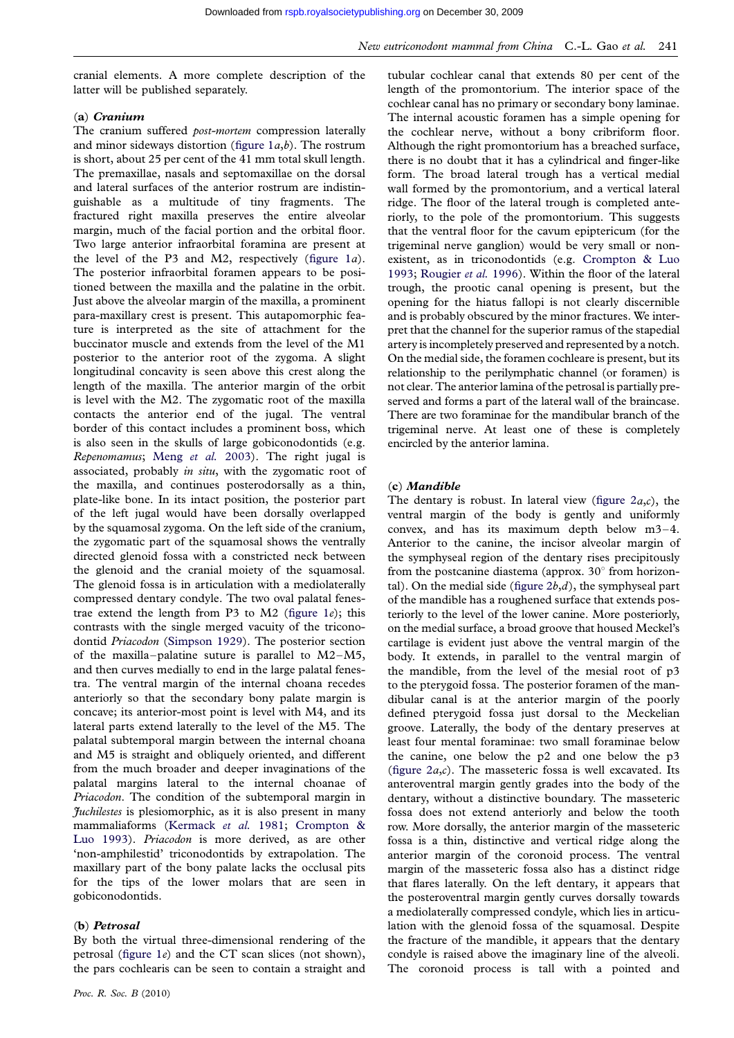cranial elements. A more complete description of the latter will be published separately.

#### (a) Cranium

The cranium suffered *post-mortem* compression laterally and minor sideways distortion (figure  $1a,b$ ). The rostrum is short, about 25 per cent of the 41 mm total skull length. The premaxillae, nasals and septomaxillae on the dorsal and lateral surfaces of the anterior rostrum are indistinguishable as a multitude of tiny fragments. The fractured right maxilla preserves the entire alveolar margin, much of the facial portion and the orbital floor. Two large anterior infraorbital foramina are present at the level of the P3 and M2, respectively (figure  $1a$ ). The posterior infraorbital foramen appears to be positioned between the maxilla and the palatine in the orbit. Just above the alveolar margin of the maxilla, a prominent para-maxillary crest is present. This autapomorphic feature is interpreted as the site of attachment for the buccinator muscle and extends from the level of the M1 posterior to the anterior root of the zygoma. A slight longitudinal concavity is seen above this crest along the length of the maxilla. The anterior margin of the orbit is level with the M2. The zygomatic root of the maxilla contacts the anterior end of the jugal. The ventral border of this contact includes a prominent boss, which is also seen in the skulls of large gobiconodontids (e.g. Repenomamus; [Meng](#page-9-0) et al. 2003). The right jugal is associated, probably in situ, with the zygomatic root of the maxilla, and continues posterodorsally as a thin, plate-like bone. In its intact position, the posterior part of the left jugal would have been dorsally overlapped by the squamosal zygoma. On the left side of the cranium, the zygomatic part of the squamosal shows the ventrally directed glenoid fossa with a constricted neck between the glenoid and the cranial moiety of the squamosal. The glenoid fossa is in articulation with a mediolaterally compressed dentary condyle. The two oval palatal fenestrae extend the length from P3 to M2 (figure  $1e$ ); this contrasts with the single merged vacuity of the triconodontid Priacodon [\(Simpson 1929\)](#page-9-0). The posterior section of the maxilla–palatine suture is parallel to  $M2-M5$ , and then curves medially to end in the large palatal fenestra. The ventral margin of the internal choana recedes anteriorly so that the secondary bony palate margin is concave; its anterior-most point is level with M4, and its lateral parts extend laterally to the level of the M5. The palatal subtemporal margin between the internal choana and M5 is straight and obliquely oriented, and different from the much broader and deeper invaginations of the palatal margins lateral to the internal choanae of Priacodon. The condition of the subtemporal margin in Juchilestes is plesiomorphic, as it is also present in many mammaliaforms ([Kermack](#page-9-0) et al. 1981; [Crompton &](#page-8-0) [Luo 1993\)](#page-8-0). Priacodon is more derived, as are other 'non-amphilestid' triconodontids by extrapolation. The maxillary part of the bony palate lacks the occlusal pits for the tips of the lower molars that are seen in gobiconodontids.

#### (b) Petrosal

By both the virtual three-dimensional rendering of the petrosal [\(figure 1](#page-2-0)e) and the CT scan slices (not shown), the pars cochlearis can be seen to contain a straight and tubular cochlear canal that extends 80 per cent of the length of the promontorium. The interior space of the cochlear canal has no primary or secondary bony laminae. The internal acoustic foramen has a simple opening for the cochlear nerve, without a bony cribriform floor. Although the right promontorium has a breached surface, there is no doubt that it has a cylindrical and finger-like form. The broad lateral trough has a vertical medial wall formed by the promontorium, and a vertical lateral ridge. The floor of the lateral trough is completed anteriorly, to the pole of the promontorium. This suggests that the ventral floor for the cavum epiptericum (for the trigeminal nerve ganglion) would be very small or nonexistent, as in triconodontids (e.g. [Crompton & Luo](#page-8-0) [1993;](#page-8-0) [Rougier](#page-9-0) et al. 1996). Within the floor of the lateral trough, the prootic canal opening is present, but the opening for the hiatus fallopi is not clearly discernible and is probably obscured by the minor fractures. We interpret that the channel for the superior ramus of the stapedial artery is incompletely preserved and represented by a notch. On the medial side, the foramen cochleare is present, but its relationship to the perilymphatic channel (or foramen) is not clear. The anterior lamina of the petrosal is partially preserved and forms a part of the lateral wall of the braincase. There are two foraminae for the mandibular branch of the trigeminal nerve. At least one of these is completely encircled by the anterior lamina.

#### (c) Mandible

The dentary is robust. In lateral view (figure  $2a,c$ ), the ventral margin of the body is gently and uniformly convex, and has its maximum depth below m3–4. Anterior to the canine, the incisor alveolar margin of the symphyseal region of the dentary rises precipitously from the postcanine diastema (approx.  $30^{\circ}$  from horizontal). On the medial side (figure  $2b,d$ ), the symphyseal part of the mandible has a roughened surface that extends posteriorly to the level of the lower canine. More posteriorly, on the medial surface, a broad groove that housed Meckel's cartilage is evident just above the ventral margin of the body. It extends, in parallel to the ventral margin of the mandible, from the level of the mesial root of p3 to the pterygoid fossa. The posterior foramen of the mandibular canal is at the anterior margin of the poorly defined pterygoid fossa just dorsal to the Meckelian groove. Laterally, the body of the dentary preserves at least four mental foraminae: two small foraminae below the canine, one below the p2 and one below the p3 (figure  $2a,c$ ). The masseteric fossa is well excavated. Its anteroventral margin gently grades into the body of the dentary, without a distinctive boundary. The masseteric fossa does not extend anteriorly and below the tooth row. More dorsally, the anterior margin of the masseteric fossa is a thin, distinctive and vertical ridge along the anterior margin of the coronoid process. The ventral margin of the masseteric fossa also has a distinct ridge that flares laterally. On the left dentary, it appears that the posteroventral margin gently curves dorsally towards a mediolaterally compressed condyle, which lies in articulation with the glenoid fossa of the squamosal. Despite the fracture of the mandible, it appears that the dentary condyle is raised above the imaginary line of the alveoli. The coronoid process is tall with a pointed and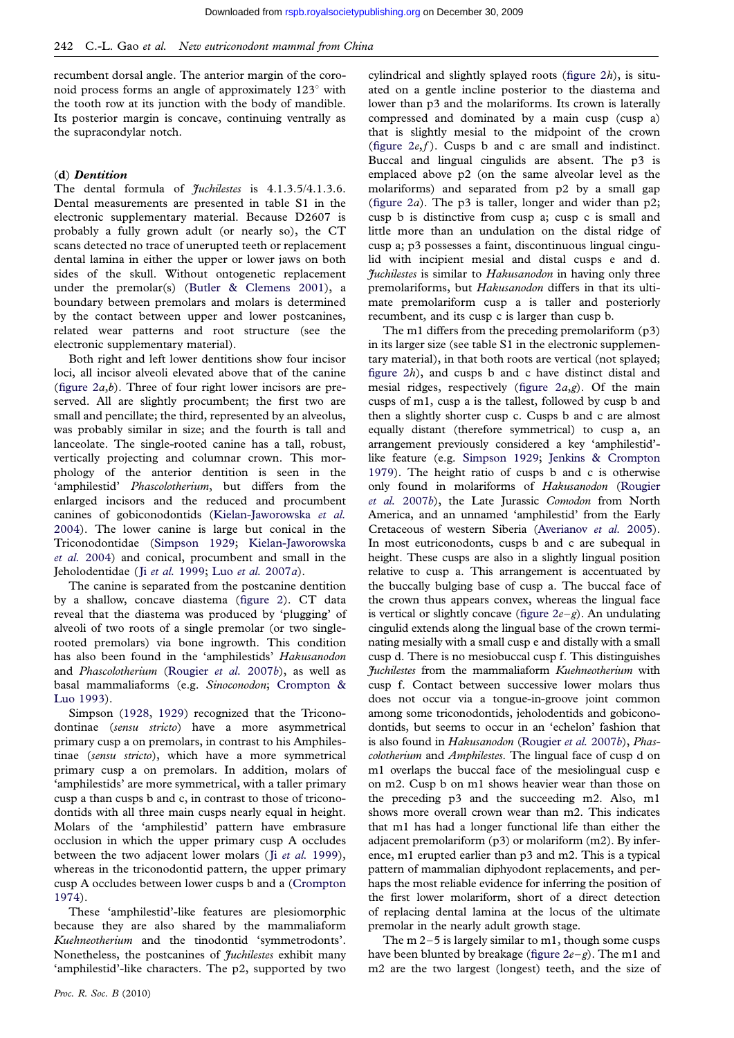recumbent dorsal angle. The anterior margin of the coronoid process forms an angle of approximately  $123^\circ$  with the tooth row at its junction with the body of mandible. Its posterior margin is concave, continuing ventrally as the supracondylar notch.

## (d) Dentition

The dental formula of *Juchilestes* is 4.1.3.5/4.1.3.6. Dental measurements are presented in table S1 in the electronic supplementary material. Because D2607 is probably a fully grown adult (or nearly so), the CT scans detected no trace of unerupted teeth or replacement dental lamina in either the upper or lower jaws on both sides of the skull. Without ontogenetic replacement under the premolar(s) [\(Butler & Clemens 2001](#page-8-0)), a boundary between premolars and molars is determined by the contact between upper and lower postcanines, related wear patterns and root structure (see the electronic supplementary material).

Both right and left lower dentitions show four incisor loci, all incisor alveoli elevated above that of the canine (figure  $(2a,b)$ . Three of four right lower incisors are preserved. All are slightly procumbent; the first two are small and pencillate; the third, represented by an alveolus, was probably similar in size; and the fourth is tall and lanceolate. The single-rooted canine has a tall, robust, vertically projecting and columnar crown. This morphology of the anterior dentition is seen in the 'amphilestid' Phascolotherium, but differs from the enlarged incisors and the reduced and procumbent canines of gobiconodontids [\(Kielan-Jaworowska](#page-9-0) et al. [2004\)](#page-9-0). The lower canine is large but conical in the Triconodontidae [\(Simpson 1929;](#page-9-0) [Kielan-Jaworowska](#page-9-0) et al. [2004](#page-9-0)) and conical, procumbent and small in the Jeholodentidae (Ji et al. [1999](#page-9-0); Luo et al. [2007](#page-9-0)a).

The canine is separated from the postcanine dentition by a shallow, concave diastema ([figure 2\)](#page-3-0). CT data reveal that the diastema was produced by 'plugging' of alveoli of two roots of a single premolar (or two singlerooted premolars) via bone ingrowth. This condition has also been found in the 'amphilestids' Hakusanodon and Phascolotherium [\(Rougier](#page-9-0) et al. 2007b), as well as basal mammaliaforms (e.g. Sinoconodon; [Crompton &](#page-8-0) [Luo 1993](#page-8-0)).

Simpson [\(1928](#page-9-0), [1929](#page-9-0)) recognized that the Triconodontinae (sensu stricto) have a more asymmetrical primary cusp a on premolars, in contrast to his Amphilestinae (sensu stricto), which have a more symmetrical primary cusp a on premolars. In addition, molars of 'amphilestids' are more symmetrical, with a taller primary cusp a than cusps b and c, in contrast to those of triconodontids with all three main cusps nearly equal in height. Molars of the 'amphilestid' pattern have embrasure occlusion in which the upper primary cusp A occludes between the two adjacent lower molars (Ji et al. [1999](#page-9-0)), whereas in the triconodontid pattern, the upper primary cusp A occludes between lower cusps b and a [\(Crompton](#page-8-0) [1974\)](#page-8-0).

These 'amphilestid'-like features are plesiomorphic because they are also shared by the mammaliaform Kuehneotherium and the tinodontid 'symmetrodonts'. Nonetheless, the postcanines of *Juchilestes* exhibit many 'amphilestid'-like characters. The p2, supported by two

cylindrical and slightly splayed roots [\(figure 2](#page-3-0)h), is situated on a gentle incline posterior to the diastema and lower than p3 and the molariforms. Its crown is laterally compressed and dominated by a main cusp (cusp a) that is slightly mesial to the midpoint of the crown (figure  $2e, f$ ). Cusps b and c are small and indistinct. Buccal and lingual cingulids are absent. The p3 is emplaced above p2 (on the same alveolar level as the molariforms) and separated from p2 by a small gap (figure  $2a$ ). The p3 is taller, longer and wider than p2; cusp b is distinctive from cusp a; cusp c is small and little more than an undulation on the distal ridge of cusp a; p3 possesses a faint, discontinuous lingual cingulid with incipient mesial and distal cusps e and d. *Fuchilestes* is similar to *Hakusanodon* in having only three premolariforms, but Hakusanodon differs in that its ultimate premolariform cusp a is taller and posteriorly recumbent, and its cusp c is larger than cusp b.

The m1 differs from the preceding premolariform (p3) in its larger size (see table S1 in the electronic supplementary material), in that both roots are vertical (not splayed; figure  $2h$ ), and cusps b and c have distinct distal and mesial ridges, respectively (figure  $2a$ ,g). Of the main cusps of m1, cusp a is the tallest, followed by cusp b and then a slightly shorter cusp c. Cusps b and c are almost equally distant (therefore symmetrical) to cusp a, an arrangement previously considered a key 'amphilestid' like feature (e.g. [Simpson 1929](#page-9-0); [Jenkins & Crompton](#page-9-0) [1979](#page-9-0)). The height ratio of cusps b and c is otherwise only found in molariforms of Hakusanodon [\(Rougier](#page-9-0) [et al.](#page-9-0) 2007b), the Late Jurassic Comodon from North America, and an unnamed 'amphilestid' from the Early Cretaceous of western Siberia [\(Averianov](#page-8-0) et al. 2005). In most eutriconodonts, cusps b and c are subequal in height. These cusps are also in a slightly lingual position relative to cusp a. This arrangement is accentuated by the buccally bulging base of cusp a. The buccal face of the crown thus appears convex, whereas the lingual face is vertical or slightly concave (figure  $2e-g$ ). An undulating cingulid extends along the lingual base of the crown terminating mesially with a small cusp e and distally with a small cusp d. There is no mesiobuccal cusp f. This distinguishes Juchilestes from the mammaliaform Kuehneotherium with cusp f. Contact between successive lower molars thus does not occur via a tongue-in-groove joint common among some triconodontids, jeholodentids and gobiconodontids, but seems to occur in an 'echelon' fashion that is also found in Hakusanodon [\(Rougier](#page-9-0) et al. 2007b), Phascolotherium and Amphilestes. The lingual face of cusp d on m1 overlaps the buccal face of the mesiolingual cusp e on m2. Cusp b on m1 shows heavier wear than those on the preceding p3 and the succeeding m2. Also, m1 shows more overall crown wear than m2. This indicates that m1 has had a longer functional life than either the adjacent premolariform (p3) or molariform (m2). By inference, m1 erupted earlier than p3 and m2. This is a typical pattern of mammalian diphyodont replacements, and perhaps the most reliable evidence for inferring the position of the first lower molariform, short of a direct detection of replacing dental lamina at the locus of the ultimate premolar in the nearly adult growth stage.

The  $m 2–5$  is largely similar to  $m1$ , though some cusps have been blunted by breakage (figure  $2e-g$ ). The m1 and m2 are the two largest (longest) teeth, and the size of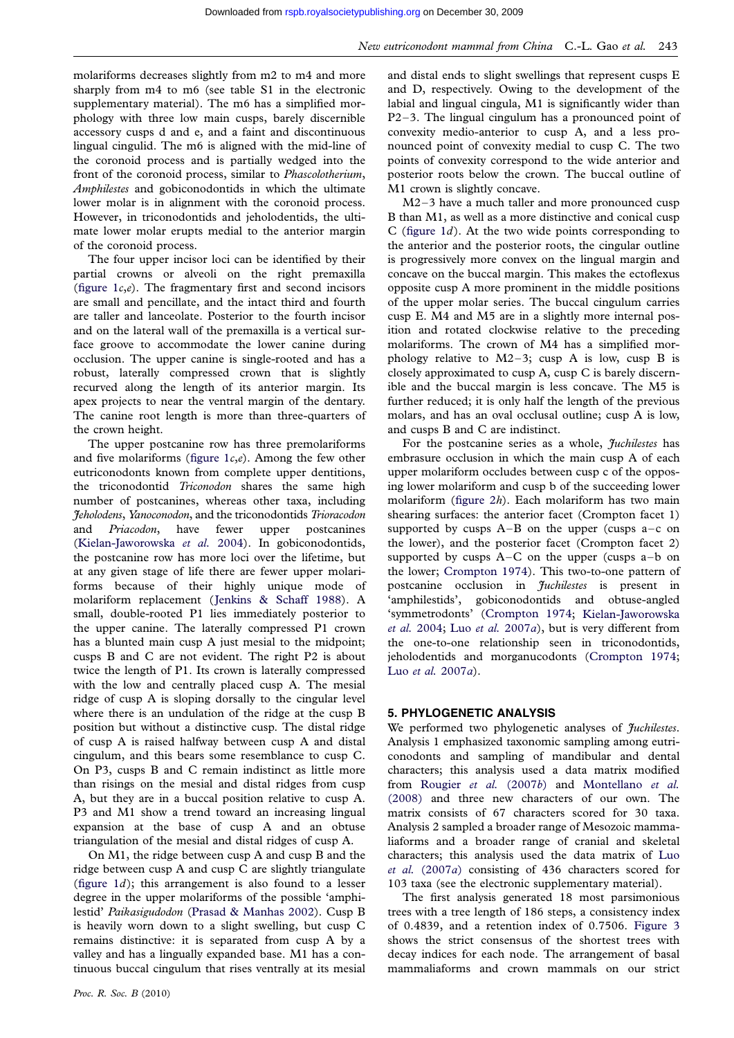molariforms decreases slightly from m2 to m4 and more sharply from m4 to m6 (see table S1 in the electronic supplementary material). The m6 has a simplified morphology with three low main cusps, barely discernible accessory cusps d and e, and a faint and discontinuous lingual cingulid. The m6 is aligned with the mid-line of the coronoid process and is partially wedged into the front of the coronoid process, similar to Phascolotherium, Amphilestes and gobiconodontids in which the ultimate lower molar is in alignment with the coronoid process. However, in triconodontids and jeholodentids, the ultimate lower molar erupts medial to the anterior margin of the coronoid process.

The four upper incisor loci can be identified by their partial crowns or alveoli on the right premaxilla (figure  $1c,e$ ). The fragmentary first and second incisors are small and pencillate, and the intact third and fourth are taller and lanceolate. Posterior to the fourth incisor and on the lateral wall of the premaxilla is a vertical surface groove to accommodate the lower canine during occlusion. The upper canine is single-rooted and has a robust, laterally compressed crown that is slightly recurved along the length of its anterior margin. Its apex projects to near the ventral margin of the dentary. The canine root length is more than three-quarters of the crown height.

The upper postcanine row has three premolariforms and five molariforms (figure  $1c,e$ ). Among the few other eutriconodonts known from complete upper dentitions, the triconodontid Triconodon shares the same high number of postcanines, whereas other taxa, including Jeholodens, Yanoconodon, and the triconodontids Trioracodon and Priacodon, have fewer upper postcanines [\(Kielan-Jaworowska](#page-9-0) et al. 2004). In gobiconodontids, the postcanine row has more loci over the lifetime, but at any given stage of life there are fewer upper molariforms because of their highly unique mode of molariform replacement ([Jenkins & Schaff 1988\)](#page-9-0). A small, double-rooted P1 lies immediately posterior to the upper canine. The laterally compressed P1 crown has a blunted main cusp A just mesial to the midpoint; cusps B and C are not evident. The right P2 is about twice the length of P1. Its crown is laterally compressed with the low and centrally placed cusp A. The mesial ridge of cusp A is sloping dorsally to the cingular level where there is an undulation of the ridge at the cusp B position but without a distinctive cusp. The distal ridge of cusp A is raised halfway between cusp A and distal cingulum, and this bears some resemblance to cusp C. On P3, cusps B and C remain indistinct as little more than risings on the mesial and distal ridges from cusp A, but they are in a buccal position relative to cusp A. P3 and M1 show a trend toward an increasing lingual expansion at the base of cusp A and an obtuse triangulation of the mesial and distal ridges of cusp A.

On M1, the ridge between cusp A and cusp B and the ridge between cusp A and cusp C are slightly triangulate (figure  $1d$ ); this arrangement is also found to a lesser degree in the upper molariforms of the possible 'amphilestid' Paikasigudodon ([Prasad & Manhas 2002\)](#page-9-0). Cusp B is heavily worn down to a slight swelling, but cusp C remains distinctive: it is separated from cusp A by a valley and has a lingually expanded base. M1 has a continuous buccal cingulum that rises ventrally at its mesial and distal ends to slight swellings that represent cusps E and D, respectively. Owing to the development of the labial and lingual cingula, M1 is significantly wider than P2–3. The lingual cingulum has a pronounced point of convexity medio-anterior to cusp A, and a less pronounced point of convexity medial to cusp C. The two points of convexity correspond to the wide anterior and posterior roots below the crown. The buccal outline of M1 crown is slightly concave.

M2–3 have a much taller and more pronounced cusp B than M1, as well as a more distinctive and conical cusp C (figure  $1d$ ). At the two wide points corresponding to the anterior and the posterior roots, the cingular outline is progressively more convex on the lingual margin and concave on the buccal margin. This makes the ectoflexus opposite cusp A more prominent in the middle positions of the upper molar series. The buccal cingulum carries cusp E. M4 and M5 are in a slightly more internal position and rotated clockwise relative to the preceding molariforms. The crown of M4 has a simplified morphology relative to  $M2-3$ ; cusp A is low, cusp B is closely approximated to cusp A, cusp C is barely discernible and the buccal margin is less concave. The M5 is further reduced; it is only half the length of the previous molars, and has an oval occlusal outline; cusp A is low, and cusps B and C are indistinct.

For the postcanine series as a whole, Juchilestes has embrasure occlusion in which the main cusp A of each upper molariform occludes between cusp c of the opposing lower molariform and cusp b of the succeeding lower molariform (figure  $2h$ ). Each molariform has two main shearing surfaces: the anterior facet (Crompton facet 1) supported by cusps  $A-B$  on the upper (cusps  $a-c$  on the lower), and the posterior facet (Crompton facet 2) supported by cusps  $A-C$  on the upper (cusps  $a-b$  on the lower; [Crompton 1974](#page-8-0)). This two-to-one pattern of postcanine occlusion in Juchilestes is present in 'amphilestids', gobiconodontids and obtuse-angled 'symmetrodonts' ([Crompton 1974;](#page-8-0) [Kielan-Jaworowska](#page-9-0) et al. [2004](#page-9-0); Luo et al. [2007](#page-9-0)a), but is very different from the one-to-one relationship seen in triconodontids, jeholodentids and morganucodonts ([Crompton 1974;](#page-8-0) Luo et al. [2007](#page-9-0)a).

## 5. PHYLOGENETIC ANALYSIS

We performed two phylogenetic analyses of *Juchilestes*. Analysis 1 emphasized taxonomic sampling among eutriconodonts and sampling of mandibular and dental characters; this analysis used a data matrix modified from [Rougier](#page-9-0) et al. (2007b) and [Montellano](#page-9-0) et al. [\(2008\)](#page-9-0) and three new characters of our own. The matrix consists of 67 characters scored for 30 taxa. Analysis 2 sampled a broader range of Mesozoic mammaliaforms and a broader range of cranial and skeletal characters; this analysis used the data matrix of [Luo](#page-9-0) et al. [\(2007](#page-9-0)a) consisting of 436 characters scored for 103 taxa (see the electronic supplementary material).

The first analysis generated 18 most parsimonious trees with a tree length of 186 steps, a consistency index of 0.4839, and a retention index of 0.7506. [Figure 3](#page-7-0) shows the strict consensus of the shortest trees with decay indices for each node. The arrangement of basal mammaliaforms and crown mammals on our strict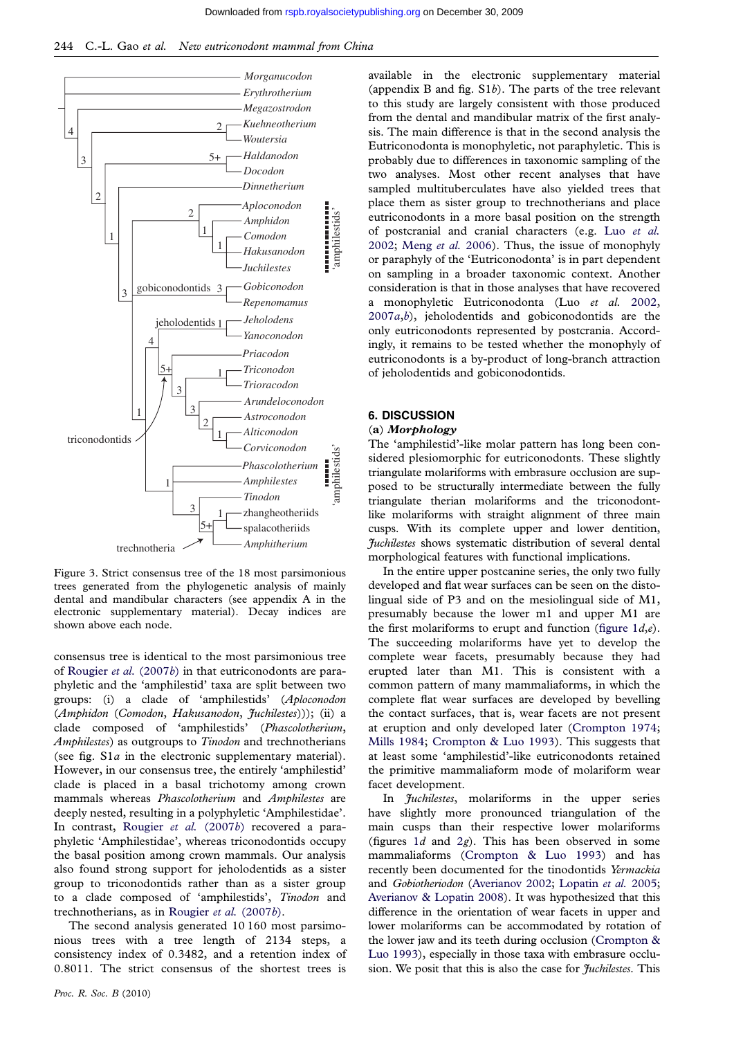<span id="page-7-0"></span>



Figure 3. Strict consensus tree of the 18 most parsimonious trees generated from the phylogenetic analysis of mainly dental and mandibular characters (see appendix A in the electronic supplementary material). Decay indices are shown above each node.

consensus tree is identical to the most parsimonious tree of [Rougier](#page-9-0) *et al.* (2007*b*) in that eutriconodonts are paraphyletic and the 'amphilestid' taxa are split between two groups: (i) a clade of 'amphilestids' (Aploconodon (Amphidon (Comodon, Hakusanodon, Juchilestes))); (ii) a clade composed of 'amphilestids' (Phascolotherium, Amphilestes) as outgroups to Tinodon and trechnotherians (see fig. S1a in the electronic supplementary material). However, in our consensus tree, the entirely 'amphilestid' clade is placed in a basal trichotomy among crown mammals whereas Phascolotherium and Amphilestes are deeply nested, resulting in a polyphyletic 'Amphilestidae'. In contrast, [Rougier](#page-9-0) et al. (2007b) recovered a paraphyletic 'Amphilestidae', whereas triconodontids occupy the basal position among crown mammals. Our analysis also found strong support for jeholodentids as a sister group to triconodontids rather than as a sister group to a clade composed of 'amphilestids', Tinodon and trechnotherians, as in [Rougier](#page-9-0) et al. (2007b).

The second analysis generated 10 160 most parsimonious trees with a tree length of 2134 steps, a consistency index of 0.3482, and a retention index of 0.8011. The strict consensus of the shortest trees is

Proc. R. Soc. B (2010)

available in the electronic supplementary material (appendix B and fig.  $S1b$ ). The parts of the tree relevant to this study are largely consistent with those produced from the dental and mandibular matrix of the first analysis. The main difference is that in the second analysis the Eutriconodonta is monophyletic, not paraphyletic. This is probably due to differences in taxonomic sampling of the two analyses. Most other recent analyses that have sampled multituberculates have also yielded trees that place them as sister group to trechnotherians and place eutriconodonts in a more basal position on the strength of postcranial and cranial characters (e.g. Luo [et al.](#page-9-0) [2002;](#page-9-0) [Meng](#page-9-0) et al. 2006). Thus, the issue of monophyly or paraphyly of the 'Eutriconodonta' is in part dependent on sampling in a broader taxonomic context. Another consideration is that in those analyses that have recovered a monophyletic Eutriconodonta (Luo et al. [2002,](#page-9-0) [2007](#page-9-0)a,[b](#page-9-0)), jeholodentids and gobiconodontids are the only eutriconodonts represented by postcrania. Accordingly, it remains to be tested whether the monophyly of eutriconodonts is a by-product of long-branch attraction of jeholodentids and gobiconodontids.

# 6. DISCUSSION

## (a) Morphology

The 'amphilestid'-like molar pattern has long been considered plesiomorphic for eutriconodonts. These slightly triangulate molariforms with embrasure occlusion are supposed to be structurally intermediate between the fully triangulate therian molariforms and the triconodontlike molariforms with straight alignment of three main cusps. With its complete upper and lower dentition, Juchilestes shows systematic distribution of several dental morphological features with functional implications.

In the entire upper postcanine series, the only two fully developed and flat wear surfaces can be seen on the distolingual side of P3 and on the mesiolingual side of M1, presumably because the lower m1 and upper M1 are the first molariforms to erupt and function (figure  $1d,e$ ). The succeeding molariforms have yet to develop the complete wear facets, presumably because they had erupted later than M1. This is consistent with a common pattern of many mammaliaforms, in which the complete flat wear surfaces are developed by bevelling the contact surfaces, that is, wear facets are not present at eruption and only developed later [\(Crompton 1974;](#page-8-0) [Mills 1984](#page-9-0); [Crompton & Luo 1993\)](#page-8-0). This suggests that at least some 'amphilestid'-like eutriconodonts retained the primitive mammaliaform mode of molariform wear facet development.

In *Juchilestes*, molariforms in the upper series have slightly more pronounced triangulation of the main cusps than their respective lower molariforms (figures  $1d$  $1d$  and  $2g$  $2g$ ). This has been observed in some mammaliaforms [\(Crompton & Luo 1993](#page-8-0)) and has recently been documented for the tinodontids Yermackia and Gobiotheriodon [\(Averianov 2002](#page-8-0); [Lopatin](#page-9-0) et al. 2005; [Averianov & Lopatin 2008\)](#page-8-0). It was hypothesized that this difference in the orientation of wear facets in upper and lower molariforms can be accommodated by rotation of the lower jaw and its teeth during occlusion [\(Crompton &](#page-8-0) [Luo 1993](#page-8-0)), especially in those taxa with embrasure occlusion. We posit that this is also the case for *Juchilestes*. This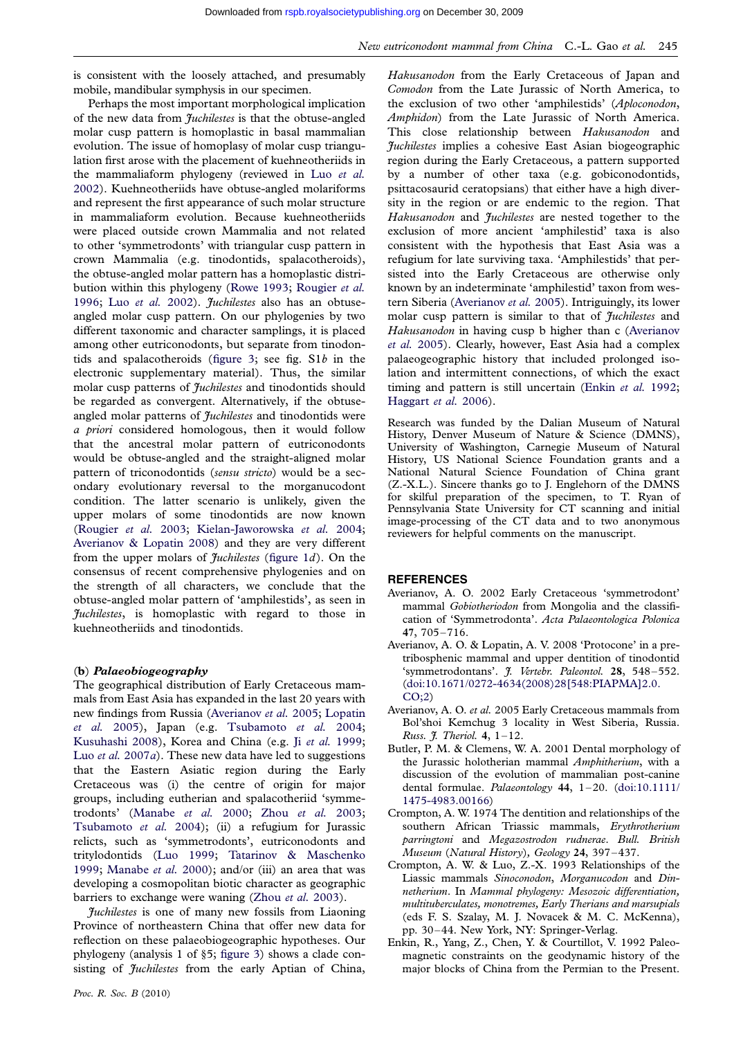<span id="page-8-0"></span>is consistent with the loosely attached, and presumably mobile, mandibular symphysis in our specimen.

Perhaps the most important morphological implication of the new data from *Juchilestes* is that the obtuse-angled molar cusp pattern is homoplastic in basal mammalian evolution. The issue of homoplasy of molar cusp triangulation first arose with the placement of kuehneotheriids in the mammaliaform phylogeny (reviewed in Luo [et al.](#page-9-0) [2002\)](#page-9-0). Kuehneotheriids have obtuse-angled molariforms and represent the first appearance of such molar structure in mammaliaform evolution. Because kuehneotheriids were placed outside crown Mammalia and not related to other 'symmetrodonts' with triangular cusp pattern in crown Mammalia (e.g. tinodontids, spalacotheroids), the obtuse-angled molar pattern has a homoplastic distribution within this phylogeny ([Rowe 1993](#page-9-0); [Rougier](#page-9-0) et al. [1996;](#page-9-0) Luo [et al.](#page-9-0) 2002). Juchilestes also has an obtuseangled molar cusp pattern. On our phylogenies by two different taxonomic and character samplings, it is placed among other eutriconodonts, but separate from tinodontids and spalacotheroids [\(figure 3;](#page-7-0) see fig. S1b in the electronic supplementary material). Thus, the similar molar cusp patterns of *Juchilestes* and tinodontids should be regarded as convergent. Alternatively, if the obtuseangled molar patterns of *Juchilestes* and tinodontids were a priori considered homologous, then it would follow that the ancestral molar pattern of eutriconodonts would be obtuse-angled and the straight-aligned molar pattern of triconodontids (sensu stricto) would be a secondary evolutionary reversal to the morganucodont condition. The latter scenario is unlikely, given the upper molars of some tinodontids are now known [\(Rougier](#page-9-0) et al. 2003; [Kielan-Jaworowska](#page-9-0) et al. 2004; Averianov & Lopatin 2008) and they are very different from the upper molars of  $J\!\!\!\!/$ *uchilestes* [\(figure 1](#page-2-0)*d*). On the consensus of recent comprehensive phylogenies and on the strength of all characters, we conclude that the obtuse-angled molar pattern of 'amphilestids', as seen in Juchilestes, is homoplastic with regard to those in kuehneotheriids and tinodontids.

## (b) Palaeobiogeography

The geographical distribution of Early Cretaceous mammals from East Asia has expanded in the last 20 years with new findings from Russia (Averianov et al. 2005; [Lopatin](#page-9-0) [et al.](#page-9-0) 2005), Japan (e.g. [Tsubamoto](#page-9-0) et al. 2004; [Kusuhashi 2008](#page-9-0)), Korea and China (e.g. Ji et al. [1999;](#page-9-0) Luo et al. [2007](#page-9-0)a). These new data have led to suggestions that the Eastern Asiatic region during the Early Cretaceous was (i) the centre of origin for major groups, including eutherian and spalacotheriid 'symmetrodonts' [\(Manabe](#page-9-0) et al. 2000; Zhou [et al.](#page-9-0) 2003; [Tsubamoto](#page-9-0) et al. 2004); (ii) a refugium for Jurassic relicts, such as 'symmetrodonts', eutriconodonts and tritylodontids ([Luo 1999](#page-9-0); [Tatarinov & Maschenko](#page-9-0) [1999;](#page-9-0) [Manabe](#page-9-0) et al. 2000); and/or (iii) an area that was developing a cosmopolitan biotic character as geographic barriers to exchange were waning ([Zhou](#page-9-0) et al. 2003).

Juchilestes is one of many new fossils from Liaoning Province of northeastern China that offer new data for reflection on these palaeobiogeographic hypotheses. Our phylogeny (analysis 1 of §5; [figure 3\)](#page-7-0) shows a clade consisting of *Juchilestes* from the early Aptian of China, Hakusanodon from the Early Cretaceous of Japan and Comodon from the Late Jurassic of North America, to the exclusion of two other 'amphilestids' (Aploconodon, Amphidon) from the Late Jurassic of North America. This close relationship between Hakusanodon and Juchilestes implies a cohesive East Asian biogeographic region during the Early Cretaceous, a pattern supported by a number of other taxa (e.g. gobiconodontids, psittacosaurid ceratopsians) that either have a high diversity in the region or are endemic to the region. That Hakusanodon and Juchilestes are nested together to the exclusion of more ancient 'amphilestid' taxa is also consistent with the hypothesis that East Asia was a refugium for late surviving taxa. 'Amphilestids' that persisted into the Early Cretaceous are otherwise only known by an indeterminate 'amphilestid' taxon from western Siberia (Averianov et al. 2005). Intriguingly, its lower molar cusp pattern is similar to that of Juchilestes and Hakusanodon in having cusp b higher than c (Averianov et al. 2005). Clearly, however, East Asia had a complex palaeogeographic history that included prolonged isolation and intermittent connections, of which the exact timing and pattern is still uncertain (Enkin et al. 1992; [Haggart](#page-9-0) et al. 2006).

Research was funded by the Dalian Museum of Natural History, Denver Museum of Nature & Science (DMNS), University of Washington, Carnegie Museum of Natural History, US National Science Foundation grants and a National Natural Science Foundation of China grant (Z.-X.L.). Sincere thanks go to J. Englehorn of the DMNS for skilful preparation of the specimen, to T. Ryan of Pennsylvania State University for CT scanning and initial image-processing of the CT data and to two anonymous reviewers for helpful comments on the manuscript.

#### **REFERENCES**

- Averianov, A. O. 2002 Early Cretaceous 'symmetrodont' mammal Gobiotheriodon from Mongolia and the classification of 'Symmetrodonta'. Acta Palaeontologica Polonica 47, 705–716.
- Averianov, A. O. & Lopatin, A. V. 2008 'Protocone' in a pretribosphenic mammal and upper dentition of tinodontid 'symmetrodontans'. *J. Vertebr. Paleontol.* 28, 548-552. [\(doi:10.1671/0272-4634\(2008\)28\[548:PIAPMA\]2.0.](http://dx.doi.org/doi:10.1671/0272-4634(2008)28[548:PIAPMA]2.0.CO;2)  $CO:2$
- Averianov, A. O. et al. 2005 Early Cretaceous mammals from Bol'shoi Kemchug 3 locality in West Siberia, Russia. Russ.  $J.$  Theriol. 4,  $1-12$ .
- Butler, P. M. & Clemens, W. A. 2001 Dental morphology of the Jurassic holotherian mammal Amphitherium, with a discussion of the evolution of mammalian post-canine dental formulae. Palaeontology 44, 1-20. ([doi:10.1111/](http://dx.doi.org/doi:10.1111/1475-4983.00166) [1475-4983.00166\)](http://dx.doi.org/doi:10.1111/1475-4983.00166)
- Crompton, A. W. 1974 The dentition and relationships of the southern African Triassic mammals, Erythrotherium parringtoni and Megazostrodon rudnerae. Bull. British Museum (Natural History), Geology 24, 397–437.
- Crompton, A. W. & Luo, Z.-X. 1993 Relationships of the Liassic mammals Sinoconodon, Morganucodon and Dinnetherium. In Mammal phylogeny: Mesozoic differentiation, multituberculates, monotremes, Early Therians and marsupials (eds F. S. Szalay, M. J. Novacek & M. C. McKenna), pp. 30–44. New York, NY: Springer-Verlag.
- Enkin, R., Yang, Z., Chen, Y. & Courtillot, V. 1992 Paleomagnetic constraints on the geodynamic history of the major blocks of China from the Permian to the Present.